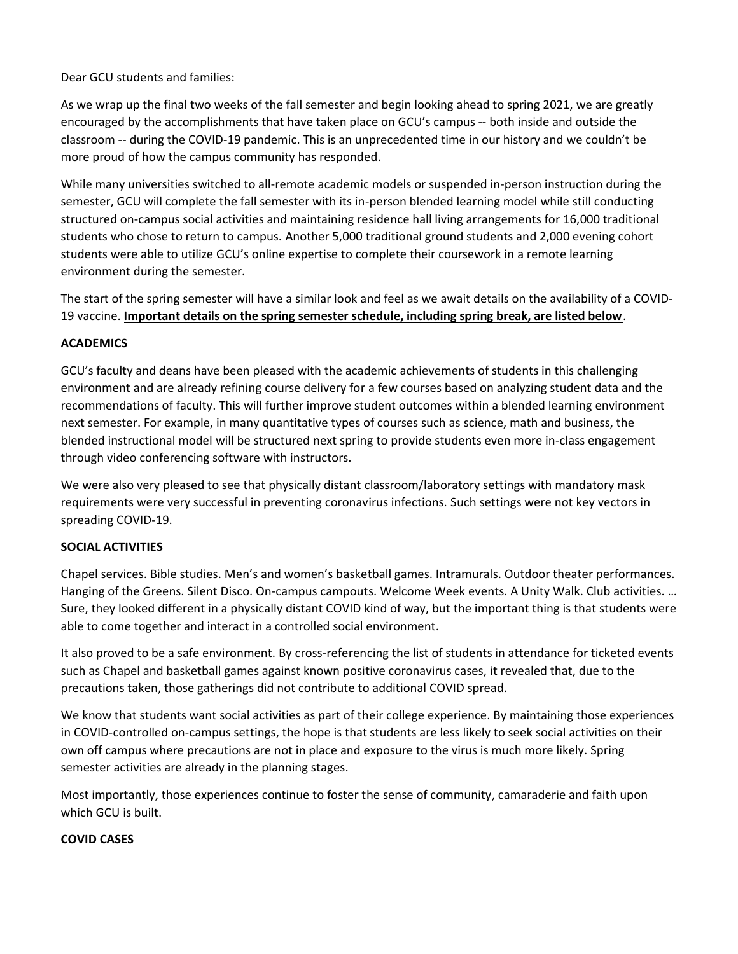Dear GCU students and families:

As we wrap up the final two weeks of the fall semester and begin looking ahead to spring 2021, we are greatly encouraged by the accomplishments that have taken place on GCU's campus -- both inside and outside the classroom -- during the COVID-19 pandemic. This is an unprecedented time in our history and we couldn't be more proud of how the campus community has responded.

While many universities switched to all-remote academic models or suspended in-person instruction during the semester, GCU will complete the fall semester with its in-person blended learning model while still conducting structured on-campus social activities and maintaining residence hall living arrangements for 16,000 traditional students who chose to return to campus. Another 5,000 traditional ground students and 2,000 evening cohort students were able to utilize GCU's online expertise to complete their coursework in a remote learning environment during the semester.

The start of the spring semester will have a similar look and feel as we await details on the availability of a COVID-19 vaccine. **Important details on the spring semester schedule, including spring break, are listed below**.

## **ACADEMICS**

GCU's faculty and deans have been pleased with the academic achievements of students in this challenging environment and are already refining course delivery for a few courses based on analyzing student data and the recommendations of faculty. This will further improve student outcomes within a blended learning environment next semester. For example, in many quantitative types of courses such as science, math and business, the blended instructional model will be structured next spring to provide students even more in-class engagement through video conferencing software with instructors.

We were also very pleased to see that physically distant classroom/laboratory settings with mandatory mask requirements were very successful in preventing coronavirus infections. Such settings were not key vectors in spreading COVID-19.

# **SOCIAL ACTIVITIES**

Chapel services. Bible studies. Men's and women's basketball games. Intramurals. Outdoor theater performances. Hanging of the Greens. Silent Disco. On-campus campouts. Welcome Week events. A Unity Walk. Club activities. … Sure, they looked different in a physically distant COVID kind of way, but the important thing is that students were able to come together and interact in a controlled social environment.

It also proved to be a safe environment. By cross-referencing the list of students in attendance for ticketed events such as Chapel and basketball games against known positive coronavirus cases, it revealed that, due to the precautions taken, those gatherings did not contribute to additional COVID spread.

We know that students want social activities as part of their college experience. By maintaining those experiences in COVID-controlled on-campus settings, the hope is that students are less likely to seek social activities on their own off campus where precautions are not in place and exposure to the virus is much more likely. Spring semester activities are already in the planning stages.

Most importantly, those experiences continue to foster the sense of community, camaraderie and faith upon which GCU is built.

#### **COVID CASES**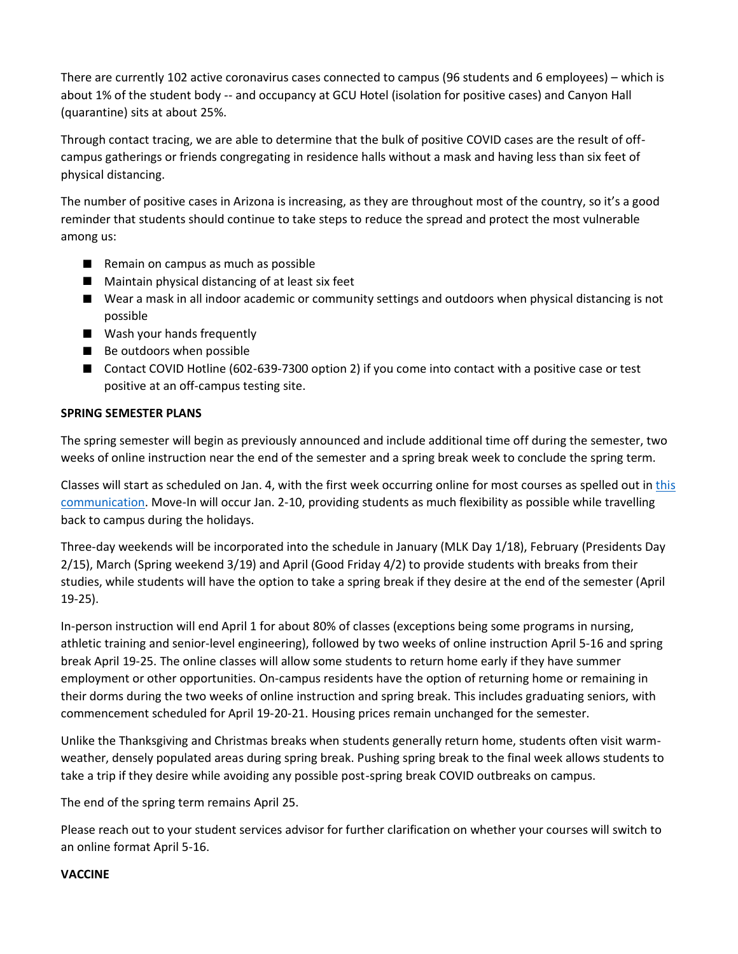There are currently 102 active coronavirus cases connected to campus (96 students and 6 employees) – which is about 1% of the student body -- and occupancy at GCU Hotel (isolation for positive cases) and Canyon Hall (quarantine) sits at about 25%.

Through contact tracing, we are able to determine that the bulk of positive COVID cases are the result of offcampus gatherings or friends congregating in residence halls without a mask and having less than six feet of physical distancing.

The number of positive cases in Arizona is increasing, as they are throughout most of the country, so it's a good reminder that students should continue to take steps to reduce the spread and protect the most vulnerable among us:

- Remain on campus as much as possible
- **Maintain physical distancing of at least six feet**
- Wear a mask in all indoor academic or community settings and outdoors when physical distancing is not possible
- Wash your hands frequently
- Be outdoors when possible
- Contact COVID Hotline (602-639-7300 option 2) if you come into contact with a positive case or test positive at an off-campus testing site.

## **SPRING SEMESTER PLANS**

The spring semester will begin as previously announced and include additional time off during the semester, two weeks of online instruction near the end of the semester and a spring break week to conclude the spring term.

Classes will start as scheduled on Jan. 4, with the first week occurring online for most courses as spelled out in this [communication.](https://www.gcu.edu/sites/default/files/2020-10/student-message-spring-schedules.pdf) Move-In will occur Jan. 2-10, providing students as much flexibility as possible while travelling back to campus during the holidays.

Three-day weekends will be incorporated into the schedule in January (MLK Day 1/18), February (Presidents Day 2/15), March (Spring weekend 3/19) and April (Good Friday 4/2) to provide students with breaks from their studies, while students will have the option to take a spring break if they desire at the end of the semester (April 19-25).

In-person instruction will end April 1 for about 80% of classes (exceptions being some programs in nursing, athletic training and senior-level engineering), followed by two weeks of online instruction April 5-16 and spring break April 19-25. The online classes will allow some students to return home early if they have summer employment or other opportunities. On-campus residents have the option of returning home or remaining in their dorms during the two weeks of online instruction and spring break. This includes graduating seniors, with commencement scheduled for April 19-20-21. Housing prices remain unchanged for the semester.

Unlike the Thanksgiving and Christmas breaks when students generally return home, students often visit warmweather, densely populated areas during spring break. Pushing spring break to the final week allows students to take a trip if they desire while avoiding any possible post-spring break COVID outbreaks on campus.

The end of the spring term remains April 25.

Please reach out to your student services advisor for further clarification on whether your courses will switch to an online format April 5-16.

#### **VACCINE**